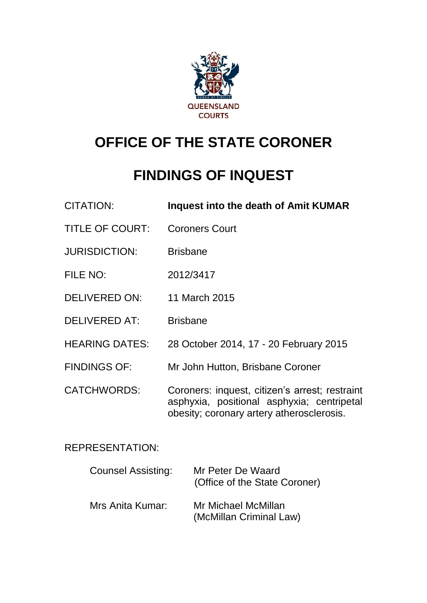

# **OFFICE OF THE STATE CORONER**

# **FINDINGS OF INQUEST**

| <b>CITATION:</b>                        | Inquest into the death of Amit KUMAR                                                                                                      |  |
|-----------------------------------------|-------------------------------------------------------------------------------------------------------------------------------------------|--|
| <b>TITLE OF COURT:</b>                  | <b>Coroners Court</b>                                                                                                                     |  |
| <b>JURISDICTION:</b>                    | <b>Brisbane</b>                                                                                                                           |  |
| FILE NO:                                | 2012/3417                                                                                                                                 |  |
| <b>DELIVERED ON:</b>                    | 11 March 2015                                                                                                                             |  |
| <b>DELIVERED AT:</b>                    | <b>Brisbane</b>                                                                                                                           |  |
| <b>HEARING DATES:</b>                   | 28 October 2014, 17 - 20 February 2015                                                                                                    |  |
| <b>FINDINGS OF:</b>                     | Mr John Hutton, Brisbane Coroner                                                                                                          |  |
| <b>CATCHWORDS:</b>                      | Coroners: inquest, citizen's arrest; restraint<br>asphyxia, positional asphyxia; centripetal<br>obesity; coronary artery atherosclerosis. |  |
| <b>REPRESENTATION:</b>                  |                                                                                                                                           |  |
| Counsel Assisting:<br>Mr Peter De Waard |                                                                                                                                           |  |

|                  | (Office of the State Coroner)                  |
|------------------|------------------------------------------------|
| Mrs Anita Kumar: | Mr Michael McMillan<br>(McMillan Criminal Law) |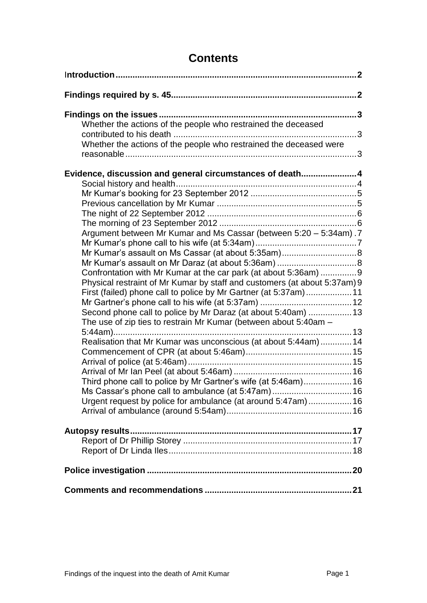| Whether the actions of the people who restrained the deceased             |  |
|---------------------------------------------------------------------------|--|
| Whether the actions of the people who restrained the deceased were        |  |
| Evidence, discussion and general circumstances of death4                  |  |
|                                                                           |  |
|                                                                           |  |
|                                                                           |  |
|                                                                           |  |
|                                                                           |  |
| Argument between Mr Kumar and Ms Cassar (between 5:20 - 5:34am). 7        |  |
|                                                                           |  |
|                                                                           |  |
| Confrontation with Mr Kumar at the car park (at about 5:36am) 9           |  |
| Physical restraint of Mr Kumar by staff and customers (at about 5:37am) 9 |  |
| First (failed) phone call to police by Mr Gartner (at 5:37am)11           |  |
|                                                                           |  |
| Second phone call to police by Mr Daraz (at about 5:40am)  13             |  |
| The use of zip ties to restrain Mr Kumar (between about 5:40am -          |  |
|                                                                           |  |
| Realisation that Mr Kumar was unconscious (at about 5:44am) 14            |  |
|                                                                           |  |
|                                                                           |  |
| Third phone call to police by Mr Gartner's wife (at 5:46am)16             |  |
| Ms Cassar's phone call to ambulance (at 5:47am) 16                        |  |
| Urgent request by police for ambulance (at around 5:47am) 16              |  |
|                                                                           |  |
|                                                                           |  |
|                                                                           |  |
|                                                                           |  |
|                                                                           |  |
|                                                                           |  |

# **Contents**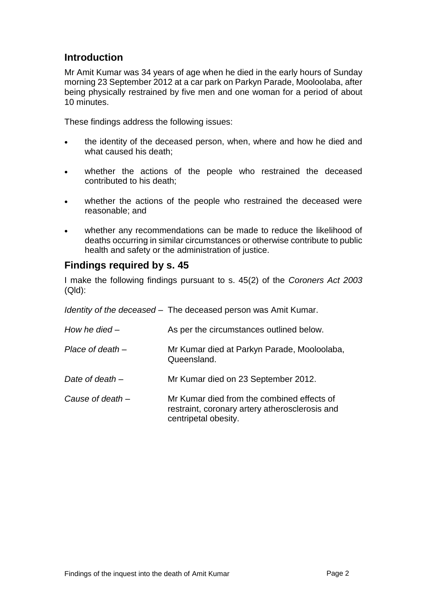# <span id="page-2-0"></span>**Introduction**

Mr Amit Kumar was 34 years of age when he died in the early hours of Sunday morning 23 September 2012 at a car park on Parkyn Parade, Mooloolaba, after being physically restrained by five men and one woman for a period of about 10 minutes.

These findings address the following issues:

- the identity of the deceased person, when, where and how he died and what caused his death;
- whether the actions of the people who restrained the deceased contributed to his death;
- whether the actions of the people who restrained the deceased were reasonable; and
- whether any recommendations can be made to reduce the likelihood of deaths occurring in similar circumstances or otherwise contribute to public health and safety or the administration of justice.

#### <span id="page-2-1"></span>**Findings required by s. 45**

I make the following findings pursuant to s. 45(2) of the *Coroners Act 2003* (Qld):

|                    | Identity of the deceased – The deceased person was Amit Kumar.                                                       |
|--------------------|----------------------------------------------------------------------------------------------------------------------|
| How he died $-$    | As per the circumstances outlined below.                                                                             |
| Place of death $-$ | Mr Kumar died at Parkyn Parade, Mooloolaba,<br>Queensland.                                                           |
| Date of death $-$  | Mr Kumar died on 23 September 2012.                                                                                  |
| Cause of death –   | Mr Kumar died from the combined effects of<br>restraint, coronary artery atherosclerosis and<br>centripetal obesity. |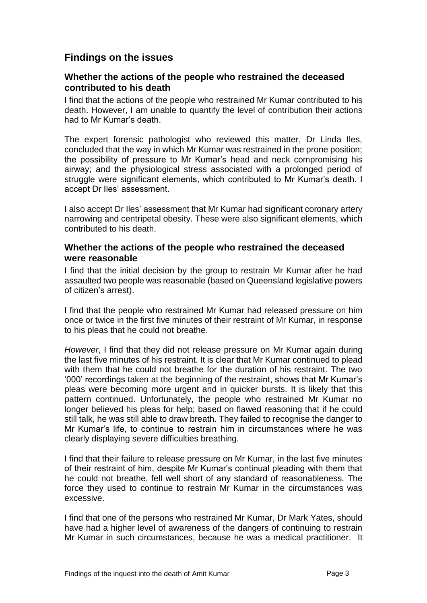# <span id="page-3-0"></span>**Findings on the issues**

#### <span id="page-3-1"></span>**Whether the actions of the people who restrained the deceased contributed to his death**

I find that the actions of the people who restrained Mr Kumar contributed to his death. However, I am unable to quantify the level of contribution their actions had to Mr Kumar's death.

The expert forensic pathologist who reviewed this matter, Dr Linda Iles, concluded that the way in which Mr Kumar was restrained in the prone position; the possibility of pressure to Mr Kumar's head and neck compromising his airway; and the physiological stress associated with a prolonged period of struggle were significant elements, which contributed to Mr Kumar's death. I accept Dr Iles' assessment.

I also accept Dr Iles' assessment that Mr Kumar had significant coronary artery narrowing and centripetal obesity. These were also significant elements, which contributed to his death.

#### <span id="page-3-2"></span>**Whether the actions of the people who restrained the deceased were reasonable**

I find that the initial decision by the group to restrain Mr Kumar after he had assaulted two people was reasonable (based on Queensland legislative powers of citizen's arrest).

I find that the people who restrained Mr Kumar had released pressure on him once or twice in the first five minutes of their restraint of Mr Kumar, in response to his pleas that he could not breathe.

*However*, I find that they did not release pressure on Mr Kumar again during the last five minutes of his restraint. It is clear that Mr Kumar continued to plead with them that he could not breathe for the duration of his restraint. The two '000' recordings taken at the beginning of the restraint, shows that Mr Kumar's pleas were becoming more urgent and in quicker bursts. It is likely that this pattern continued. Unfortunately, the people who restrained Mr Kumar no longer believed his pleas for help; based on flawed reasoning that if he could still talk, he was still able to draw breath. They failed to recognise the danger to Mr Kumar's life, to continue to restrain him in circumstances where he was clearly displaying severe difficulties breathing.

I find that their failure to release pressure on Mr Kumar, in the last five minutes of their restraint of him, despite Mr Kumar's continual pleading with them that he could not breathe, fell well short of any standard of reasonableness. The force they used to continue to restrain Mr Kumar in the circumstances was excessive.

I find that one of the persons who restrained Mr Kumar, Dr Mark Yates, should have had a higher level of awareness of the dangers of continuing to restrain Mr Kumar in such circumstances, because he was a medical practitioner. It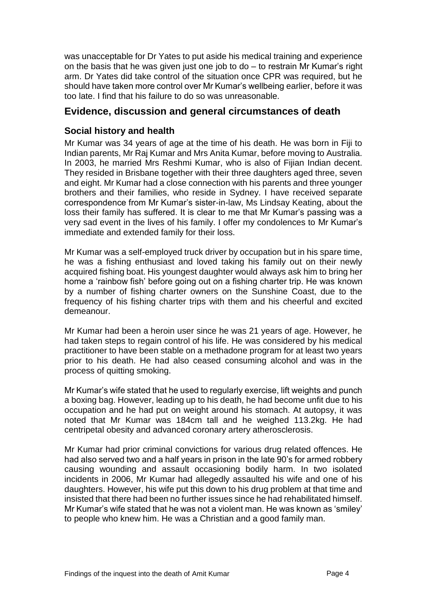was unacceptable for Dr Yates to put aside his medical training and experience on the basis that he was given just one job to do – to restrain Mr Kumar's right arm. Dr Yates did take control of the situation once CPR was required, but he should have taken more control over Mr Kumar's wellbeing earlier, before it was too late. I find that his failure to do so was unreasonable.

# <span id="page-4-0"></span>**Evidence, discussion and general circumstances of death**

## <span id="page-4-1"></span>**Social history and health**

Mr Kumar was 34 years of age at the time of his death. He was born in Fiji to Indian parents, Mr Raj Kumar and Mrs Anita Kumar, before moving to Australia. In 2003, he married Mrs Reshmi Kumar, who is also of Fijian Indian decent. They resided in Brisbane together with their three daughters aged three, seven and eight. Mr Kumar had a close connection with his parents and three younger brothers and their families, who reside in Sydney. I have received separate correspondence from Mr Kumar's sister-in-law, Ms Lindsay Keating, about the loss their family has suffered. It is clear to me that Mr Kumar's passing was a very sad event in the lives of his family. I offer my condolences to Mr Kumar's immediate and extended family for their loss.

Mr Kumar was a self-employed truck driver by occupation but in his spare time, he was a fishing enthusiast and loved taking his family out on their newly acquired fishing boat. His youngest daughter would always ask him to bring her home a 'rainbow fish' before going out on a fishing charter trip. He was known by a number of fishing charter owners on the Sunshine Coast, due to the frequency of his fishing charter trips with them and his cheerful and excited demeanour.

Mr Kumar had been a heroin user since he was 21 years of age. However, he had taken steps to regain control of his life. He was considered by his medical practitioner to have been stable on a methadone program for at least two years prior to his death. He had also ceased consuming alcohol and was in the process of quitting smoking.

Mr Kumar's wife stated that he used to regularly exercise, lift weights and punch a boxing bag. However, leading up to his death, he had become unfit due to his occupation and he had put on weight around his stomach. At autopsy, it was noted that Mr Kumar was 184cm tall and he weighed 113.2kg. He had centripetal obesity and advanced coronary artery atherosclerosis.

Mr Kumar had prior criminal convictions for various drug related offences. He had also served two and a half years in prison in the late 90's for armed robbery causing wounding and assault occasioning bodily harm. In two isolated incidents in 2006, Mr Kumar had allegedly assaulted his wife and one of his daughters. However, his wife put this down to his drug problem at that time and insisted that there had been no further issues since he had rehabilitated himself. Mr Kumar's wife stated that he was not a violent man. He was known as 'smiley' to people who knew him. He was a Christian and a good family man.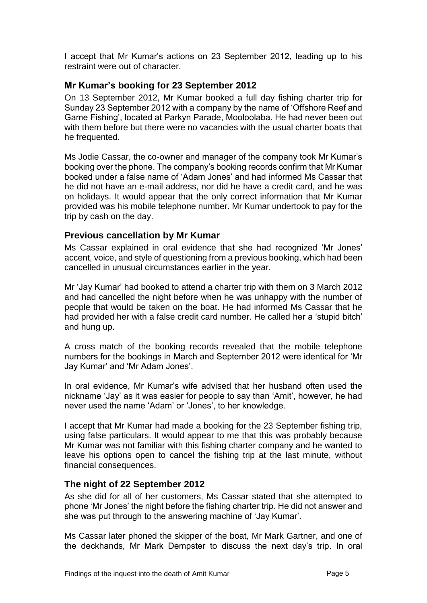<span id="page-5-0"></span>I accept that Mr Kumar's actions on 23 September 2012, leading up to his restraint were out of character.

#### **Mr Kumar's booking for 23 September 2012**

On 13 September 2012, Mr Kumar booked a full day fishing charter trip for Sunday 23 September 2012 with a company by the name of 'Offshore Reef and Game Fishing', located at Parkyn Parade, Mooloolaba. He had never been out with them before but there were no vacancies with the usual charter boats that he frequented.

Ms Jodie Cassar, the co-owner and manager of the company took Mr Kumar's booking over the phone. The company's booking records confirm that Mr Kumar booked under a false name of 'Adam Jones' and had informed Ms Cassar that he did not have an e-mail address, nor did he have a credit card, and he was on holidays. It would appear that the only correct information that Mr Kumar provided was his mobile telephone number. Mr Kumar undertook to pay for the trip by cash on the day.

#### <span id="page-5-1"></span>**Previous cancellation by Mr Kumar**

Ms Cassar explained in oral evidence that she had recognized 'Mr Jones' accent, voice, and style of questioning from a previous booking, which had been cancelled in unusual circumstances earlier in the year.

Mr 'Jay Kumar' had booked to attend a charter trip with them on 3 March 2012 and had cancelled the night before when he was unhappy with the number of people that would be taken on the boat. He had informed Ms Cassar that he had provided her with a false credit card number. He called her a 'stupid bitch' and hung up.

A cross match of the booking records revealed that the mobile telephone numbers for the bookings in March and September 2012 were identical for 'Mr Jay Kumar' and 'Mr Adam Jones'.

In oral evidence, Mr Kumar's wife advised that her husband often used the nickname 'Jay' as it was easier for people to say than 'Amit', however, he had never used the name 'Adam' or 'Jones', to her knowledge.

I accept that Mr Kumar had made a booking for the 23 September fishing trip, using false particulars. It would appear to me that this was probably because Mr Kumar was not familiar with this fishing charter company and he wanted to leave his options open to cancel the fishing trip at the last minute, without financial consequences.

#### <span id="page-5-2"></span>**The night of 22 September 2012**

As she did for all of her customers, Ms Cassar stated that she attempted to phone 'Mr Jones' the night before the fishing charter trip. He did not answer and she was put through to the answering machine of 'Jay Kumar'.

Ms Cassar later phoned the skipper of the boat, Mr Mark Gartner, and one of the deckhands, Mr Mark Dempster to discuss the next day's trip. In oral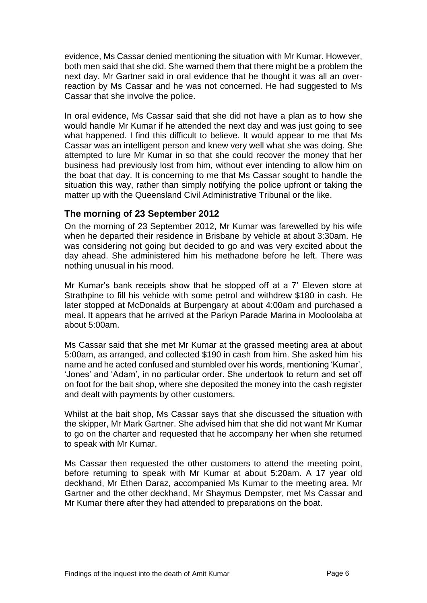evidence, Ms Cassar denied mentioning the situation with Mr Kumar. However, both men said that she did. She warned them that there might be a problem the next day. Mr Gartner said in oral evidence that he thought it was all an overreaction by Ms Cassar and he was not concerned. He had suggested to Ms Cassar that she involve the police.

In oral evidence, Ms Cassar said that she did not have a plan as to how she would handle Mr Kumar if he attended the next day and was just going to see what happened. I find this difficult to believe. It would appear to me that Ms Cassar was an intelligent person and knew very well what she was doing. She attempted to lure Mr Kumar in so that she could recover the money that her business had previously lost from him, without ever intending to allow him on the boat that day. It is concerning to me that Ms Cassar sought to handle the situation this way, rather than simply notifying the police upfront or taking the matter up with the Queensland Civil Administrative Tribunal or the like.

#### <span id="page-6-0"></span>**The morning of 23 September 2012**

On the morning of 23 September 2012, Mr Kumar was farewelled by his wife when he departed their residence in Brisbane by vehicle at about 3:30am. He was considering not going but decided to go and was very excited about the day ahead. She administered him his methadone before he left. There was nothing unusual in his mood.

Mr Kumar's bank receipts show that he stopped off at a 7' Eleven store at Strathpine to fill his vehicle with some petrol and withdrew \$180 in cash. He later stopped at McDonalds at Burpengary at about 4:00am and purchased a meal. It appears that he arrived at the Parkyn Parade Marina in Mooloolaba at about 5:00am.

Ms Cassar said that she met Mr Kumar at the grassed meeting area at about 5:00am, as arranged, and collected \$190 in cash from him. She asked him his name and he acted confused and stumbled over his words, mentioning 'Kumar', 'Jones' and 'Adam', in no particular order. She undertook to return and set off on foot for the bait shop, where she deposited the money into the cash register and dealt with payments by other customers.

Whilst at the bait shop, Ms Cassar says that she discussed the situation with the skipper, Mr Mark Gartner. She advised him that she did not want Mr Kumar to go on the charter and requested that he accompany her when she returned to speak with Mr Kumar.

Ms Cassar then requested the other customers to attend the meeting point, before returning to speak with Mr Kumar at about 5:20am. A 17 year old deckhand, Mr Ethen Daraz, accompanied Ms Kumar to the meeting area. Mr Gartner and the other deckhand, Mr Shaymus Dempster, met Ms Cassar and Mr Kumar there after they had attended to preparations on the boat.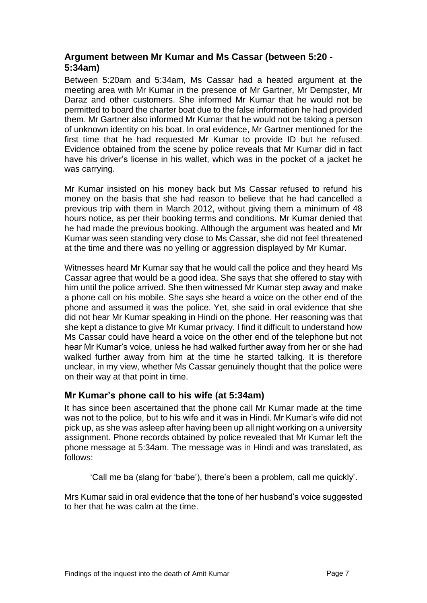# <span id="page-7-0"></span>**Argument between Mr Kumar and Ms Cassar (between 5:20 - 5:34am)**

Between 5:20am and 5:34am, Ms Cassar had a heated argument at the meeting area with Mr Kumar in the presence of Mr Gartner, Mr Dempster, Mr Daraz and other customers. She informed Mr Kumar that he would not be permitted to board the charter boat due to the false information he had provided them. Mr Gartner also informed Mr Kumar that he would not be taking a person of unknown identity on his boat. In oral evidence, Mr Gartner mentioned for the first time that he had requested Mr Kumar to provide ID but he refused. Evidence obtained from the scene by police reveals that Mr Kumar did in fact have his driver's license in his wallet, which was in the pocket of a jacket he was carrying.

Mr Kumar insisted on his money back but Ms Cassar refused to refund his money on the basis that she had reason to believe that he had cancelled a previous trip with them in March 2012, without giving them a minimum of 48 hours notice, as per their booking terms and conditions. Mr Kumar denied that he had made the previous booking. Although the argument was heated and Mr Kumar was seen standing very close to Ms Cassar, she did not feel threatened at the time and there was no yelling or aggression displayed by Mr Kumar.

Witnesses heard Mr Kumar say that he would call the police and they heard Ms Cassar agree that would be a good idea. She says that she offered to stay with him until the police arrived. She then witnessed Mr Kumar step away and make a phone call on his mobile. She says she heard a voice on the other end of the phone and assumed it was the police. Yet, she said in oral evidence that she did not hear Mr Kumar speaking in Hindi on the phone. Her reasoning was that she kept a distance to give Mr Kumar privacy. I find it difficult to understand how Ms Cassar could have heard a voice on the other end of the telephone but not hear Mr Kumar's voice, unless he had walked further away from her or she had walked further away from him at the time he started talking. It is therefore unclear, in my view, whether Ms Cassar genuinely thought that the police were on their way at that point in time.

# <span id="page-7-1"></span>**Mr Kumar's phone call to his wife (at 5:34am)**

It has since been ascertained that the phone call Mr Kumar made at the time was not to the police, but to his wife and it was in Hindi. Mr Kumar's wife did not pick up, as she was asleep after having been up all night working on a university assignment. Phone records obtained by police revealed that Mr Kumar left the phone message at 5:34am. The message was in Hindi and was translated, as follows:

'Call me ba (slang for 'babe'), there's been a problem, call me quickly'.

Mrs Kumar said in oral evidence that the tone of her husband's voice suggested to her that he was calm at the time.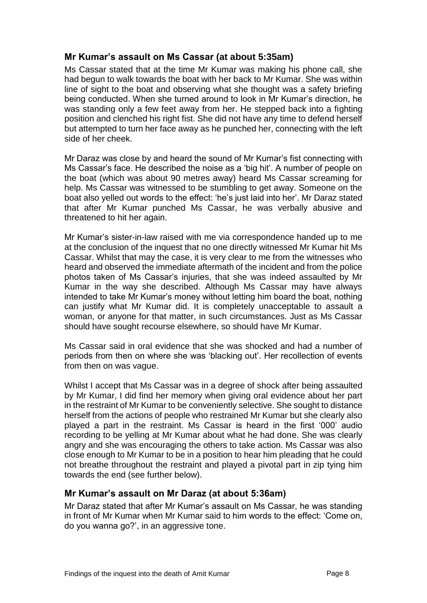#### <span id="page-8-0"></span>**Mr Kumar's assault on Ms Cassar (at about 5:35am)**

Ms Cassar stated that at the time Mr Kumar was making his phone call, she had begun to walk towards the boat with her back to Mr Kumar. She was within line of sight to the boat and observing what she thought was a safety briefing being conducted. When she turned around to look in Mr Kumar's direction, he was standing only a few feet away from her. He stepped back into a fighting position and clenched his right fist. She did not have any time to defend herself but attempted to turn her face away as he punched her, connecting with the left side of her cheek.

Mr Daraz was close by and heard the sound of Mr Kumar's fist connecting with Ms Cassar's face. He described the noise as a 'big hit'. A number of people on the boat (which was about 90 metres away) heard Ms Cassar screaming for help. Ms Cassar was witnessed to be stumbling to get away. Someone on the boat also yelled out words to the effect: 'he's just laid into her'. Mr Daraz stated that after Mr Kumar punched Ms Cassar, he was verbally abusive and threatened to hit her again.

Mr Kumar's sister-in-law raised with me via correspondence handed up to me at the conclusion of the inquest that no one directly witnessed Mr Kumar hit Ms Cassar. Whilst that may the case, it is very clear to me from the witnesses who heard and observed the immediate aftermath of the incident and from the police photos taken of Ms Cassar's injuries, that she was indeed assaulted by Mr Kumar in the way she described. Although Ms Cassar may have always intended to take Mr Kumar's money without letting him board the boat, nothing can justify what Mr Kumar did. It is completely unacceptable to assault a woman, or anyone for that matter, in such circumstances. Just as Ms Cassar should have sought recourse elsewhere, so should have Mr Kumar.

Ms Cassar said in oral evidence that she was shocked and had a number of periods from then on where she was 'blacking out'. Her recollection of events from then on was vague.

Whilst I accept that Ms Cassar was in a degree of shock after being assaulted by Mr Kumar, I did find her memory when giving oral evidence about her part in the restraint of Mr Kumar to be conveniently selective. She sought to distance herself from the actions of people who restrained Mr Kumar but she clearly also played a part in the restraint. Ms Cassar is heard in the first '000' audio recording to be yelling at Mr Kumar about what he had done. She was clearly angry and she was encouraging the others to take action. Ms Cassar was also close enough to Mr Kumar to be in a position to hear him pleading that he could not breathe throughout the restraint and played a pivotal part in zip tying him towards the end (see further below).

#### <span id="page-8-1"></span>**Mr Kumar's assault on Mr Daraz (at about 5:36am)**

Mr Daraz stated that after Mr Kumar's assault on Ms Cassar, he was standing in front of Mr Kumar when Mr Kumar said to him words to the effect: 'Come on, do you wanna go?', in an aggressive tone.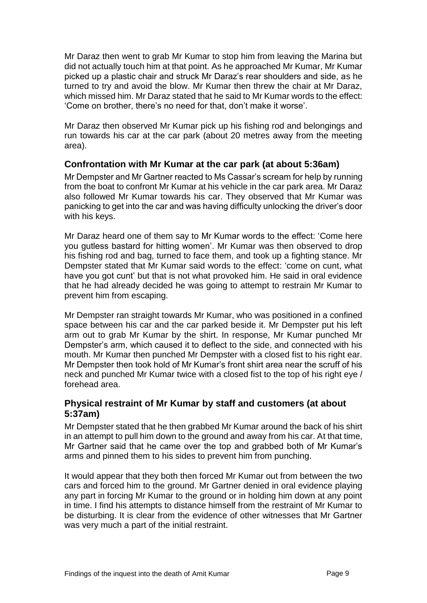Mr Daraz then went to grab Mr Kumar to stop him from leaving the Marina but did not actually touch him at that point. As he approached Mr Kumar, Mr Kumar picked up a plastic chair and struck Mr Daraz's rear shoulders and side, as he turned to try and avoid the blow. Mr Kumar then threw the chair at Mr Daraz, which missed him. Mr Daraz stated that he said to Mr Kumar words to the effect: 'Come on brother, there's no need for that, don't make it worse'.

Mr Daraz then observed Mr Kumar pick up his fishing rod and belongings and run towards his car at the car park (about 20 metres away from the meeting area).

#### <span id="page-9-0"></span>**Confrontation with Mr Kumar at the car park (at about 5:36am)**

Mr Dempster and Mr Gartner reacted to Ms Cassar's scream for help by running from the boat to confront Mr Kumar at his vehicle in the car park area. Mr Daraz also followed Mr Kumar towards his car. They observed that Mr Kumar was panicking to get into the car and was having difficulty unlocking the driver's door with his keys.

Mr Daraz heard one of them say to Mr Kumar words to the effect: 'Come here you gutless bastard for hitting women'. Mr Kumar was then observed to drop his fishing rod and bag, turned to face them, and took up a fighting stance. Mr Dempster stated that Mr Kumar said words to the effect: 'come on cunt, what have you got cunt' but that is not what provoked him. He said in oral evidence that he had already decided he was going to attempt to restrain Mr Kumar to prevent him from escaping.

Mr Dempster ran straight towards Mr Kumar, who was positioned in a confined space between his car and the car parked beside it. Mr Dempster put his left arm out to grab Mr Kumar by the shirt. In response, Mr Kumar punched Mr Dempster's arm, which caused it to deflect to the side, and connected with his mouth. Mr Kumar then punched Mr Dempster with a closed fist to his right ear. Mr Dempster then took hold of Mr Kumar's front shirt area near the scruff of his neck and punched Mr Kumar twice with a closed fist to the top of his right eye / forehead area.

#### <span id="page-9-1"></span>**Physical restraint of Mr Kumar by staff and customers (at about 5:37am)**

Mr Dempster stated that he then grabbed Mr Kumar around the back of his shirt in an attempt to pull him down to the ground and away from his car. At that time, Mr Gartner said that he came over the top and grabbed both of Mr Kumar's arms and pinned them to his sides to prevent him from punching.

It would appear that they both then forced Mr Kumar out from between the two cars and forced him to the ground. Mr Gartner denied in oral evidence playing any part in forcing Mr Kumar to the ground or in holding him down at any point in time. I find his attempts to distance himself from the restraint of Mr Kumar to be disturbing. It is clear from the evidence of other witnesses that Mr Gartner was very much a part of the initial restraint.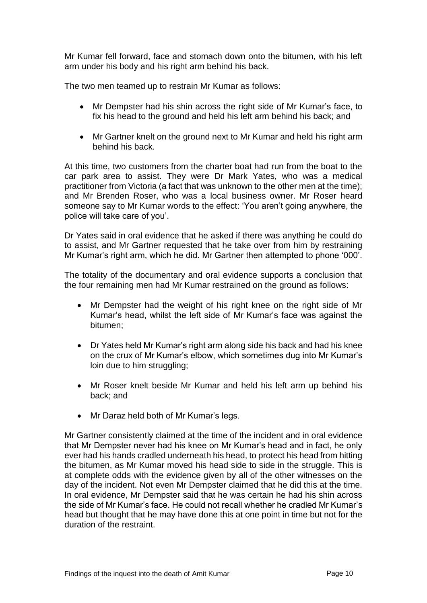Mr Kumar fell forward, face and stomach down onto the bitumen, with his left arm under his body and his right arm behind his back.

The two men teamed up to restrain Mr Kumar as follows:

- Mr Dempster had his shin across the right side of Mr Kumar's face, to fix his head to the ground and held his left arm behind his back; and
- Mr Gartner knelt on the ground next to Mr Kumar and held his right arm behind his back.

At this time, two customers from the charter boat had run from the boat to the car park area to assist. They were Dr Mark Yates, who was a medical practitioner from Victoria (a fact that was unknown to the other men at the time); and Mr Brenden Roser, who was a local business owner. Mr Roser heard someone say to Mr Kumar words to the effect: 'You aren't going anywhere, the police will take care of you'.

Dr Yates said in oral evidence that he asked if there was anything he could do to assist, and Mr Gartner requested that he take over from him by restraining Mr Kumar's right arm, which he did. Mr Gartner then attempted to phone '000'.

The totality of the documentary and oral evidence supports a conclusion that the four remaining men had Mr Kumar restrained on the ground as follows:

- Mr Dempster had the weight of his right knee on the right side of Mr Kumar's head, whilst the left side of Mr Kumar's face was against the bitumen;
- Dr Yates held Mr Kumar's right arm along side his back and had his knee on the crux of Mr Kumar's elbow, which sometimes dug into Mr Kumar's loin due to him struggling;
- Mr Roser knelt beside Mr Kumar and held his left arm up behind his back; and
- Mr Daraz held both of Mr Kumar's legs.

Mr Gartner consistently claimed at the time of the incident and in oral evidence that Mr Dempster never had his knee on Mr Kumar's head and in fact, he only ever had his hands cradled underneath his head, to protect his head from hitting the bitumen, as Mr Kumar moved his head side to side in the struggle. This is at complete odds with the evidence given by all of the other witnesses on the day of the incident. Not even Mr Dempster claimed that he did this at the time. In oral evidence, Mr Dempster said that he was certain he had his shin across the side of Mr Kumar's face. He could not recall whether he cradled Mr Kumar's head but thought that he may have done this at one point in time but not for the duration of the restraint.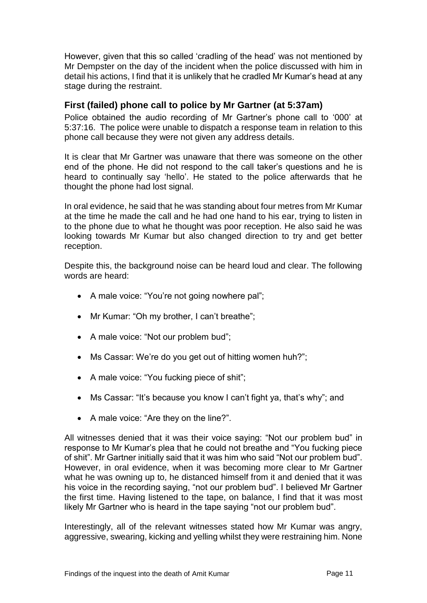However, given that this so called 'cradling of the head' was not mentioned by Mr Dempster on the day of the incident when the police discussed with him in detail his actions, I find that it is unlikely that he cradled Mr Kumar's head at any stage during the restraint.

#### <span id="page-11-0"></span>**First (failed) phone call to police by Mr Gartner (at 5:37am)**

Police obtained the audio recording of Mr Gartner's phone call to '000' at 5:37:16. The police were unable to dispatch a response team in relation to this phone call because they were not given any address details.

It is clear that Mr Gartner was unaware that there was someone on the other end of the phone. He did not respond to the call taker's questions and he is heard to continually say 'hello'. He stated to the police afterwards that he thought the phone had lost signal.

In oral evidence, he said that he was standing about four metres from Mr Kumar at the time he made the call and he had one hand to his ear, trying to listen in to the phone due to what he thought was poor reception. He also said he was looking towards Mr Kumar but also changed direction to try and get better reception.

Despite this, the background noise can be heard loud and clear. The following words are heard:

- A male voice: "You're not going nowhere pal";
- Mr Kumar: "Oh my brother, I can't breathe";
- A male voice: "Not our problem bud";
- Ms Cassar: We're do you get out of hitting women huh?";
- A male voice: "You fucking piece of shit";
- Ms Cassar: "It's because you know I can't fight ya, that's why"; and
- A male voice: "Are they on the line?".

All witnesses denied that it was their voice saying: "Not our problem bud" in response to Mr Kumar's plea that he could not breathe and "You fucking piece of shit". Mr Gartner initially said that it was him who said "Not our problem bud". However, in oral evidence, when it was becoming more clear to Mr Gartner what he was owning up to, he distanced himself from it and denied that it was his voice in the recording saying, "not our problem bud". I believed Mr Gartner the first time. Having listened to the tape, on balance, I find that it was most likely Mr Gartner who is heard in the tape saying "not our problem bud".

Interestingly, all of the relevant witnesses stated how Mr Kumar was angry, aggressive, swearing, kicking and yelling whilst they were restraining him. None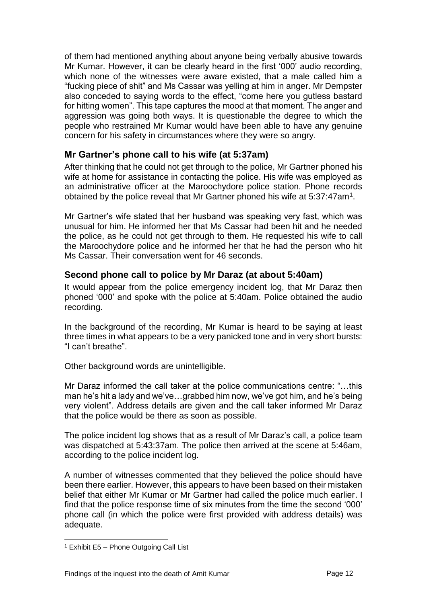of them had mentioned anything about anyone being verbally abusive towards Mr Kumar. However, it can be clearly heard in the first '000' audio recording, which none of the witnesses were aware existed, that a male called him a "fucking piece of shit" and Ms Cassar was yelling at him in anger. Mr Dempster also conceded to saying words to the effect, "come here you gutless bastard for hitting women". This tape captures the mood at that moment. The anger and aggression was going both ways. It is questionable the degree to which the people who restrained Mr Kumar would have been able to have any genuine concern for his safety in circumstances where they were so angry.

#### <span id="page-12-0"></span>**Mr Gartner's phone call to his wife (at 5:37am)**

After thinking that he could not get through to the police, Mr Gartner phoned his wife at home for assistance in contacting the police. His wife was employed as an administrative officer at the Maroochydore police station. Phone records obtained by the police reveal that Mr Gartner phoned his wife at 5:37:47am<sup>1</sup>.

Mr Gartner's wife stated that her husband was speaking very fast, which was unusual for him. He informed her that Ms Cassar had been hit and he needed the police, as he could not get through to them. He requested his wife to call the Maroochydore police and he informed her that he had the person who hit Ms Cassar. Their conversation went for 46 seconds.

#### <span id="page-12-1"></span>**Second phone call to police by Mr Daraz (at about 5:40am)**

It would appear from the police emergency incident log, that Mr Daraz then phoned '000' and spoke with the police at 5:40am. Police obtained the audio recording.

In the background of the recording, Mr Kumar is heard to be saying at least three times in what appears to be a very panicked tone and in very short bursts: "I can't breathe".

Other background words are unintelligible.

Mr Daraz informed the call taker at the police communications centre: "…this man he's hit a lady and we've…grabbed him now, we've got him, and he's being very violent". Address details are given and the call taker informed Mr Daraz that the police would be there as soon as possible.

The police incident log shows that as a result of Mr Daraz's call, a police team was dispatched at 5:43:37am. The police then arrived at the scene at 5:46am, according to the police incident log.

A number of witnesses commented that they believed the police should have been there earlier. However, this appears to have been based on their mistaken belief that either Mr Kumar or Mr Gartner had called the police much earlier. I find that the police response time of six minutes from the time the second '000' phone call (in which the police were first provided with address details) was adequate.

l

<sup>1</sup> Exhibit E5 – Phone Outgoing Call List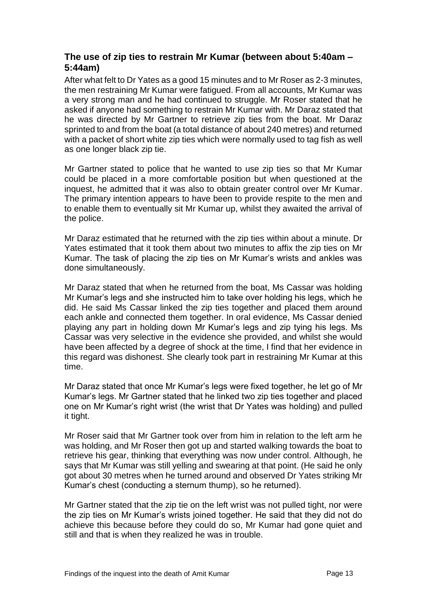### <span id="page-13-0"></span>**The use of zip ties to restrain Mr Kumar (between about 5:40am – 5:44am)**

After what felt to Dr Yates as a good 15 minutes and to Mr Roser as 2-3 minutes, the men restraining Mr Kumar were fatigued. From all accounts, Mr Kumar was a very strong man and he had continued to struggle. Mr Roser stated that he asked if anyone had something to restrain Mr Kumar with. Mr Daraz stated that he was directed by Mr Gartner to retrieve zip ties from the boat. Mr Daraz sprinted to and from the boat (a total distance of about 240 metres) and returned with a packet of short white zip ties which were normally used to tag fish as well as one longer black zip tie.

Mr Gartner stated to police that he wanted to use zip ties so that Mr Kumar could be placed in a more comfortable position but when questioned at the inquest, he admitted that it was also to obtain greater control over Mr Kumar. The primary intention appears to have been to provide respite to the men and to enable them to eventually sit Mr Kumar up, whilst they awaited the arrival of the police.

Mr Daraz estimated that he returned with the zip ties within about a minute. Dr Yates estimated that it took them about two minutes to affix the zip ties on Mr Kumar. The task of placing the zip ties on Mr Kumar's wrists and ankles was done simultaneously.

Mr Daraz stated that when he returned from the boat, Ms Cassar was holding Mr Kumar's legs and she instructed him to take over holding his legs, which he did. He said Ms Cassar linked the zip ties together and placed them around each ankle and connected them together. In oral evidence, Ms Cassar denied playing any part in holding down Mr Kumar's legs and zip tying his legs. Ms Cassar was very selective in the evidence she provided, and whilst she would have been affected by a degree of shock at the time, I find that her evidence in this regard was dishonest. She clearly took part in restraining Mr Kumar at this time.

Mr Daraz stated that once Mr Kumar's legs were fixed together, he let go of Mr Kumar's legs. Mr Gartner stated that he linked two zip ties together and placed one on Mr Kumar's right wrist (the wrist that Dr Yates was holding) and pulled it tight.

Mr Roser said that Mr Gartner took over from him in relation to the left arm he was holding, and Mr Roser then got up and started walking towards the boat to retrieve his gear, thinking that everything was now under control. Although, he says that Mr Kumar was still yelling and swearing at that point. (He said he only got about 30 metres when he turned around and observed Dr Yates striking Mr Kumar's chest (conducting a sternum thump), so he returned).

Mr Gartner stated that the zip tie on the left wrist was not pulled tight, nor were the zip ties on Mr Kumar's wrists joined together. He said that they did not do achieve this because before they could do so, Mr Kumar had gone quiet and still and that is when they realized he was in trouble.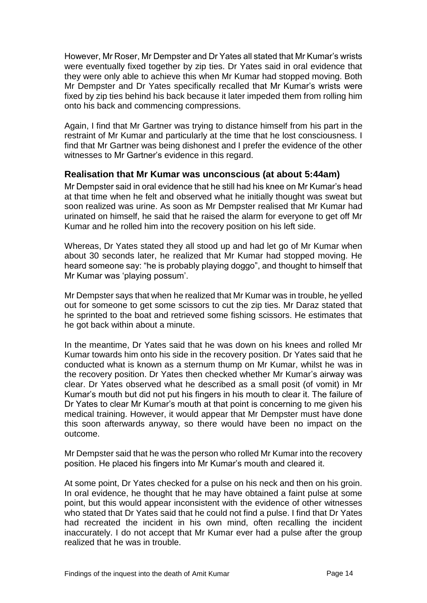However, Mr Roser, Mr Dempster and Dr Yates all stated that Mr Kumar's wrists were eventually fixed together by zip ties. Dr Yates said in oral evidence that they were only able to achieve this when Mr Kumar had stopped moving. Both Mr Dempster and Dr Yates specifically recalled that Mr Kumar's wrists were fixed by zip ties behind his back because it later impeded them from rolling him onto his back and commencing compressions.

Again, I find that Mr Gartner was trying to distance himself from his part in the restraint of Mr Kumar and particularly at the time that he lost consciousness. I find that Mr Gartner was being dishonest and I prefer the evidence of the other witnesses to Mr Gartner's evidence in this regard.

#### <span id="page-14-0"></span>**Realisation that Mr Kumar was unconscious (at about 5:44am)**

Mr Dempster said in oral evidence that he still had his knee on Mr Kumar's head at that time when he felt and observed what he initially thought was sweat but soon realized was urine. As soon as Mr Dempster realised that Mr Kumar had urinated on himself, he said that he raised the alarm for everyone to get off Mr Kumar and he rolled him into the recovery position on his left side.

Whereas, Dr Yates stated they all stood up and had let go of Mr Kumar when about 30 seconds later, he realized that Mr Kumar had stopped moving. He heard someone say: "he is probably playing doggo", and thought to himself that Mr Kumar was 'playing possum'.

Mr Dempster says that when he realized that Mr Kumar was in trouble, he yelled out for someone to get some scissors to cut the zip ties. Mr Daraz stated that he sprinted to the boat and retrieved some fishing scissors. He estimates that he got back within about a minute.

In the meantime, Dr Yates said that he was down on his knees and rolled Mr Kumar towards him onto his side in the recovery position. Dr Yates said that he conducted what is known as a sternum thump on Mr Kumar, whilst he was in the recovery position. Dr Yates then checked whether Mr Kumar's airway was clear. Dr Yates observed what he described as a small posit (of vomit) in Mr Kumar's mouth but did not put his fingers in his mouth to clear it. The failure of Dr Yates to clear Mr Kumar's mouth at that point is concerning to me given his medical training. However, it would appear that Mr Dempster must have done this soon afterwards anyway, so there would have been no impact on the outcome.

Mr Dempster said that he was the person who rolled Mr Kumar into the recovery position. He placed his fingers into Mr Kumar's mouth and cleared it.

At some point, Dr Yates checked for a pulse on his neck and then on his groin. In oral evidence, he thought that he may have obtained a faint pulse at some point, but this would appear inconsistent with the evidence of other witnesses who stated that Dr Yates said that he could not find a pulse. I find that Dr Yates had recreated the incident in his own mind, often recalling the incident inaccurately. I do not accept that Mr Kumar ever had a pulse after the group realized that he was in trouble.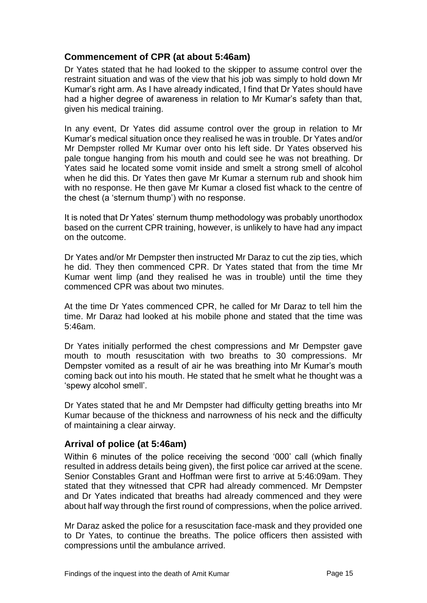#### <span id="page-15-0"></span>**Commencement of CPR (at about 5:46am)**

Dr Yates stated that he had looked to the skipper to assume control over the restraint situation and was of the view that his job was simply to hold down Mr Kumar's right arm. As I have already indicated, I find that Dr Yates should have had a higher degree of awareness in relation to Mr Kumar's safety than that, given his medical training.

In any event, Dr Yates did assume control over the group in relation to Mr Kumar's medical situation once they realised he was in trouble. Dr Yates and/or Mr Dempster rolled Mr Kumar over onto his left side. Dr Yates observed his pale tongue hanging from his mouth and could see he was not breathing. Dr Yates said he located some vomit inside and smelt a strong smell of alcohol when he did this. Dr Yates then gave Mr Kumar a sternum rub and shook him with no response. He then gave Mr Kumar a closed fist whack to the centre of the chest (a 'sternum thump') with no response.

It is noted that Dr Yates' sternum thump methodology was probably unorthodox based on the current CPR training, however, is unlikely to have had any impact on the outcome.

Dr Yates and/or Mr Dempster then instructed Mr Daraz to cut the zip ties, which he did. They then commenced CPR. Dr Yates stated that from the time Mr Kumar went limp (and they realised he was in trouble) until the time they commenced CPR was about two minutes.

At the time Dr Yates commenced CPR, he called for Mr Daraz to tell him the time. Mr Daraz had looked at his mobile phone and stated that the time was 5:46am.

Dr Yates initially performed the chest compressions and Mr Dempster gave mouth to mouth resuscitation with two breaths to 30 compressions. Mr Dempster vomited as a result of air he was breathing into Mr Kumar's mouth coming back out into his mouth. He stated that he smelt what he thought was a 'spewy alcohol smell'.

Dr Yates stated that he and Mr Dempster had difficulty getting breaths into Mr Kumar because of the thickness and narrowness of his neck and the difficulty of maintaining a clear airway.

# <span id="page-15-1"></span>**Arrival of police (at 5:46am)**

Within 6 minutes of the police receiving the second '000' call (which finally resulted in address details being given), the first police car arrived at the scene. Senior Constables Grant and Hoffman were first to arrive at 5:46:09am. They stated that they witnessed that CPR had already commenced. Mr Dempster and Dr Yates indicated that breaths had already commenced and they were about half way through the first round of compressions, when the police arrived.

Mr Daraz asked the police for a resuscitation face-mask and they provided one to Dr Yates, to continue the breaths. The police officers then assisted with compressions until the ambulance arrived.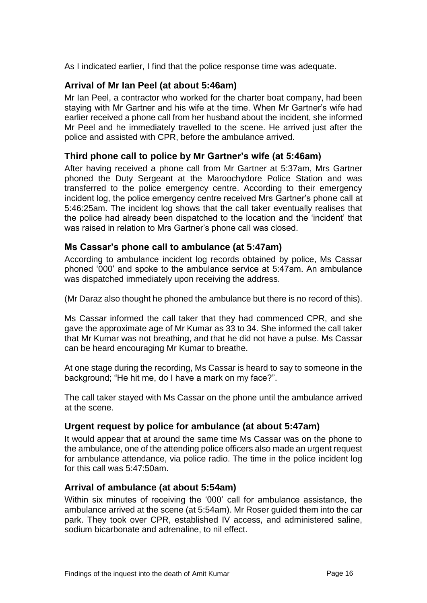As I indicated earlier, I find that the police response time was adequate.

# <span id="page-16-0"></span>**Arrival of Mr Ian Peel (at about 5:46am)**

Mr Ian Peel, a contractor who worked for the charter boat company, had been staying with Mr Gartner and his wife at the time. When Mr Gartner's wife had earlier received a phone call from her husband about the incident, she informed Mr Peel and he immediately travelled to the scene. He arrived just after the police and assisted with CPR, before the ambulance arrived.

#### <span id="page-16-1"></span>**Third phone call to police by Mr Gartner's wife (at 5:46am)**

After having received a phone call from Mr Gartner at 5:37am, Mrs Gartner phoned the Duty Sergeant at the Maroochydore Police Station and was transferred to the police emergency centre. According to their emergency incident log, the police emergency centre received Mrs Gartner's phone call at 5:46:25am. The incident log shows that the call taker eventually realises that the police had already been dispatched to the location and the 'incident' that was raised in relation to Mrs Gartner's phone call was closed.

#### <span id="page-16-2"></span>**Ms Cassar's phone call to ambulance (at 5:47am)**

According to ambulance incident log records obtained by police, Ms Cassar phoned '000' and spoke to the ambulance service at 5:47am. An ambulance was dispatched immediately upon receiving the address.

(Mr Daraz also thought he phoned the ambulance but there is no record of this).

Ms Cassar informed the call taker that they had commenced CPR, and she gave the approximate age of Mr Kumar as 33 to 34. She informed the call taker that Mr Kumar was not breathing, and that he did not have a pulse. Ms Cassar can be heard encouraging Mr Kumar to breathe.

At one stage during the recording, Ms Cassar is heard to say to someone in the background; "He hit me, do I have a mark on my face?".

The call taker stayed with Ms Cassar on the phone until the ambulance arrived at the scene.

#### <span id="page-16-3"></span>**Urgent request by police for ambulance (at about 5:47am)**

It would appear that at around the same time Ms Cassar was on the phone to the ambulance, one of the attending police officers also made an urgent request for ambulance attendance, via police radio. The time in the police incident log for this call was 5:47:50am.

#### <span id="page-16-4"></span>**Arrival of ambulance (at about 5:54am)**

Within six minutes of receiving the '000' call for ambulance assistance, the ambulance arrived at the scene (at 5:54am). Mr Roser guided them into the car park. They took over CPR, established IV access, and administered saline, sodium bicarbonate and adrenaline, to nil effect.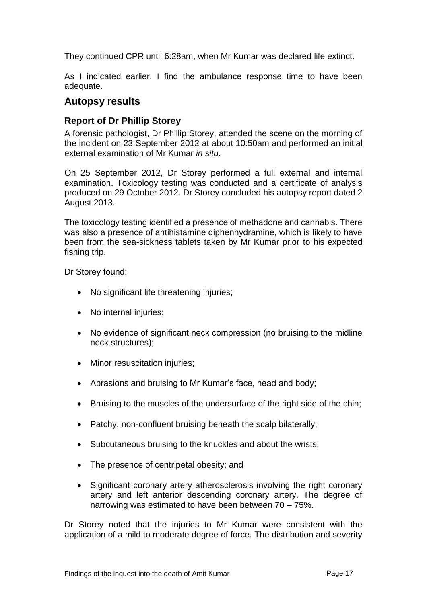They continued CPR until 6:28am, when Mr Kumar was declared life extinct.

As I indicated earlier, I find the ambulance response time to have been adequate.

#### <span id="page-17-0"></span>**Autopsy results**

#### <span id="page-17-1"></span>**Report of Dr Phillip Storey**

A forensic pathologist, Dr Phillip Storey, attended the scene on the morning of the incident on 23 September 2012 at about 10:50am and performed an initial external examination of Mr Kumar *in situ*.

On 25 September 2012, Dr Storey performed a full external and internal examination. Toxicology testing was conducted and a certificate of analysis produced on 29 October 2012. Dr Storey concluded his autopsy report dated 2 August 2013.

The toxicology testing identified a presence of methadone and cannabis. There was also a presence of antihistamine diphenhydramine, which is likely to have been from the sea-sickness tablets taken by Mr Kumar prior to his expected fishing trip.

Dr Storey found:

- No significant life threatening injuries;
- No internal injuries:
- No evidence of significant neck compression (no bruising to the midline neck structures);
- Minor resuscitation injuries;
- Abrasions and bruising to Mr Kumar's face, head and body;
- Bruising to the muscles of the undersurface of the right side of the chin;
- Patchy, non-confluent bruising beneath the scalp bilaterally;
- Subcutaneous bruising to the knuckles and about the wrists;
- The presence of centripetal obesity; and
- Significant coronary artery atherosclerosis involving the right coronary artery and left anterior descending coronary artery. The degree of narrowing was estimated to have been between 70 – 75%.

Dr Storey noted that the injuries to Mr Kumar were consistent with the application of a mild to moderate degree of force. The distribution and severity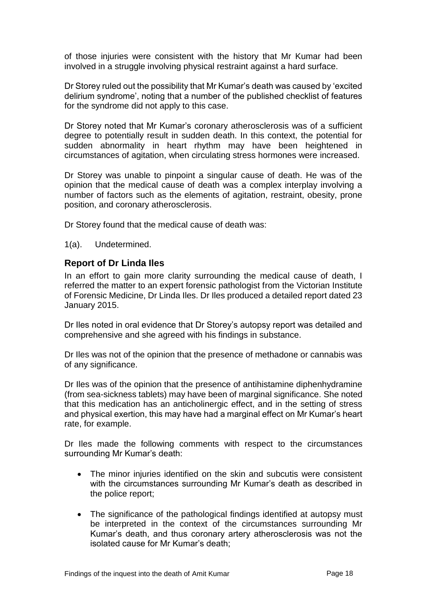of those injuries were consistent with the history that Mr Kumar had been involved in a struggle involving physical restraint against a hard surface.

Dr Storey ruled out the possibility that Mr Kumar's death was caused by 'excited delirium syndrome', noting that a number of the published checklist of features for the syndrome did not apply to this case.

Dr Storey noted that Mr Kumar's coronary atherosclerosis was of a sufficient degree to potentially result in sudden death. In this context, the potential for sudden abnormality in heart rhythm may have been heightened in circumstances of agitation, when circulating stress hormones were increased.

Dr Storey was unable to pinpoint a singular cause of death. He was of the opinion that the medical cause of death was a complex interplay involving a number of factors such as the elements of agitation, restraint, obesity, prone position, and coronary atherosclerosis.

Dr Storey found that the medical cause of death was:

1(a). Undetermined.

#### <span id="page-18-0"></span>**Report of Dr Linda Iles**

In an effort to gain more clarity surrounding the medical cause of death, I referred the matter to an expert forensic pathologist from the Victorian Institute of Forensic Medicine, Dr Linda Iles. Dr Iles produced a detailed report dated 23 January 2015.

Dr Iles noted in oral evidence that Dr Storey's autopsy report was detailed and comprehensive and she agreed with his findings in substance.

Dr Iles was not of the opinion that the presence of methadone or cannabis was of any significance.

Dr Iles was of the opinion that the presence of antihistamine diphenhydramine (from sea-sickness tablets) may have been of marginal significance. She noted that this medication has an anticholinergic effect, and in the setting of stress and physical exertion, this may have had a marginal effect on Mr Kumar's heart rate, for example.

Dr Iles made the following comments with respect to the circumstances surrounding Mr Kumar's death:

- The minor injuries identified on the skin and subcutis were consistent with the circumstances surrounding Mr Kumar's death as described in the police report;
- The significance of the pathological findings identified at autopsy must be interpreted in the context of the circumstances surrounding Mr Kumar's death, and thus coronary artery atherosclerosis was not the isolated cause for Mr Kumar's death;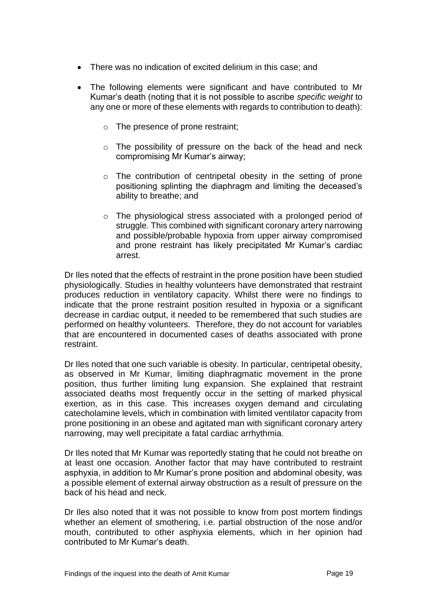- There was no indication of excited delirium in this case; and
- The following elements were significant and have contributed to Mr Kumar's death (noting that it is not possible to ascribe *specific weight* to any one or more of these elements with regards to contribution to death):
	- o The presence of prone restraint;
	- o The possibility of pressure on the back of the head and neck compromising Mr Kumar's airway;
	- o The contribution of centripetal obesity in the setting of prone positioning splinting the diaphragm and limiting the deceased's ability to breathe; and
	- o The physiological stress associated with a prolonged period of struggle. This combined with significant coronary artery narrowing and possible/probable hypoxia from upper airway compromised and prone restraint has likely precipitated Mr Kumar's cardiac arrest.

Dr Iles noted that the effects of restraint in the prone position have been studied physiologically. Studies in healthy volunteers have demonstrated that restraint produces reduction in ventilatory capacity. Whilst there were no findings to indicate that the prone restraint position resulted in hypoxia or a significant decrease in cardiac output, it needed to be remembered that such studies are performed on healthy volunteers. Therefore, they do not account for variables that are encountered in documented cases of deaths associated with prone restraint.

Dr Iles noted that one such variable is obesity. In particular, centripetal obesity, as observed in Mr Kumar, limiting diaphragmatic movement in the prone position, thus further limiting lung expansion. She explained that restraint associated deaths most frequently occur in the setting of marked physical exertion, as in this case. This increases oxygen demand and circulating catecholamine levels, which in combination with limited ventilator capacity from prone positioning in an obese and agitated man with significant coronary artery narrowing, may well precipitate a fatal cardiac arrhythmia.

Dr Iles noted that Mr Kumar was reportedly stating that he could not breathe on at least one occasion. Another factor that may have contributed to restraint asphyxia, in addition to Mr Kumar's prone position and abdominal obesity, was a possible element of external airway obstruction as a result of pressure on the back of his head and neck.

Dr Iles also noted that it was not possible to know from post mortem findings whether an element of smothering, i.e. partial obstruction of the nose and/or mouth, contributed to other asphyxia elements, which in her opinion had contributed to Mr Kumar's death.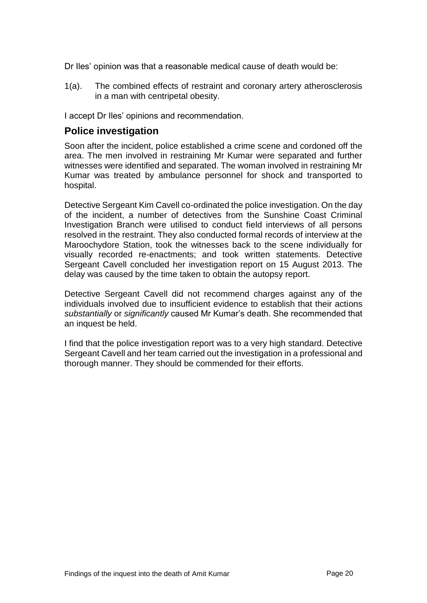Dr Iles' opinion was that a reasonable medical cause of death would be:

1(a). The combined effects of restraint and coronary artery atherosclerosis in a man with centripetal obesity.

I accept Dr Iles' opinions and recommendation.

## <span id="page-20-0"></span>**Police investigation**

Soon after the incident, police established a crime scene and cordoned off the area. The men involved in restraining Mr Kumar were separated and further witnesses were identified and separated. The woman involved in restraining Mr Kumar was treated by ambulance personnel for shock and transported to hospital.

Detective Sergeant Kim Cavell co-ordinated the police investigation. On the day of the incident, a number of detectives from the Sunshine Coast Criminal Investigation Branch were utilised to conduct field interviews of all persons resolved in the restraint. They also conducted formal records of interview at the Maroochydore Station, took the witnesses back to the scene individually for visually recorded re-enactments; and took written statements. Detective Sergeant Cavell concluded her investigation report on 15 August 2013. The delay was caused by the time taken to obtain the autopsy report.

Detective Sergeant Cavell did not recommend charges against any of the individuals involved due to insufficient evidence to establish that their actions *substantially* or *significantly* caused Mr Kumar's death. She recommended that an inquest be held.

<span id="page-20-1"></span>I find that the police investigation report was to a very high standard. Detective Sergeant Cavell and her team carried out the investigation in a professional and thorough manner. They should be commended for their efforts.